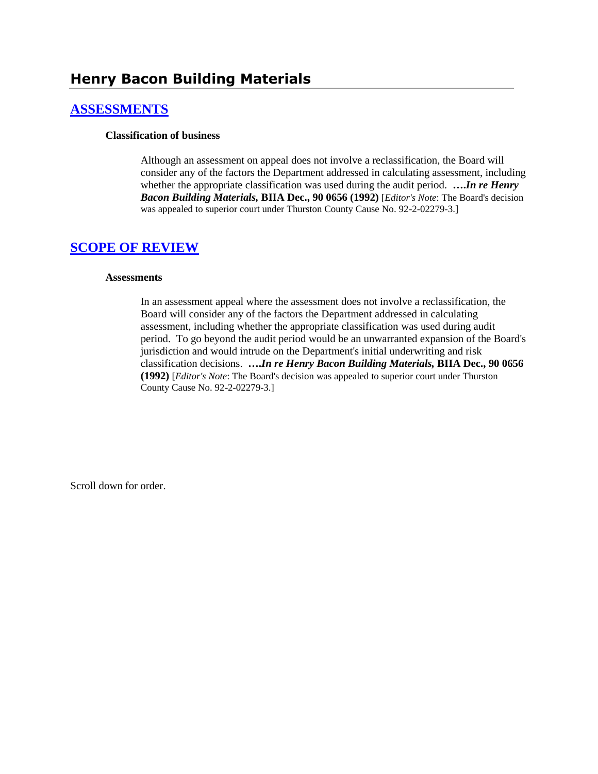# **Henry Bacon Building Materials**

### **[ASSESSMENTS](http://www.biia.wa.gov/SDSubjectIndex.html#ASSESSMENTS)**

#### **Classification of business**

Although an assessment on appeal does not involve a reclassification, the Board will consider any of the factors the Department addressed in calculating assessment, including whether the appropriate classification was used during the audit period. **….***In re Henry Bacon Building Materials,* **BIIA Dec., 90 0656 (1992)** [*Editor's Note*: The Board's decision was appealed to superior court under Thurston County Cause No. 92-2-02279-3.]

#### **[SCOPE OF REVIEW](http://www.biia.wa.gov/SDSubjectIndex.html#SCOPE_OF_REVIEW)**

#### **Assessments**

In an assessment appeal where the assessment does not involve a reclassification, the Board will consider any of the factors the Department addressed in calculating assessment, including whether the appropriate classification was used during audit period. To go beyond the audit period would be an unwarranted expansion of the Board's jurisdiction and would intrude on the Department's initial underwriting and risk classification decisions. **….***In re Henry Bacon Building Materials,* **BIIA Dec., 90 0656 (1992)** [*Editor's Note*: The Board's decision was appealed to superior court under Thurston County Cause No. 92-2-02279-3.]

Scroll down for order.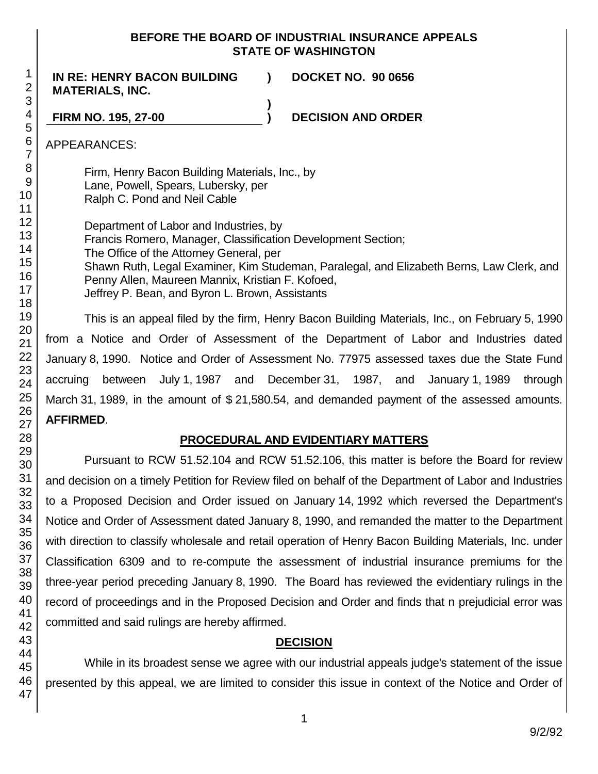#### **BEFORE THE BOARD OF INDUSTRIAL INSURANCE APPEALS STATE OF WASHINGTON**

**)**

**IN RE: HENRY BACON BUILDING MATERIALS, INC.**

**) DOCKET NO. 90 0656**

**FIRM NO. 195, 27-00 ) DECISION AND ORDER**

APPEARANCES:

Firm, Henry Bacon Building Materials, Inc., by Lane, Powell, Spears, Lubersky, per Ralph C. Pond and Neil Cable

Department of Labor and Industries, by Francis Romero, Manager, Classification Development Section; The Office of the Attorney General, per Shawn Ruth, Legal Examiner, Kim Studeman, Paralegal, and Elizabeth Berns, Law Clerk, and Penny Allen, Maureen Mannix, Kristian F. Kofoed, Jeffrey P. Bean, and Byron L. Brown, Assistants

This is an appeal filed by the firm, Henry Bacon Building Materials, Inc., on February 5, 1990 from a Notice and Order of Assessment of the Department of Labor and Industries dated January 8, 1990. Notice and Order of Assessment No. 77975 assessed taxes due the State Fund accruing between July 1, 1987 and December 31, 1987, and January 1, 1989 through March 31, 1989, in the amount of \$ 21,580.54, and demanded payment of the assessed amounts. **AFFIRMED**.

## **PROCEDURAL AND EVIDENTIARY MATTERS**

Pursuant to RCW 51.52.104 and RCW 51.52.106, this matter is before the Board for review and decision on a timely Petition for Review filed on behalf of the Department of Labor and Industries to a Proposed Decision and Order issued on January 14, 1992 which reversed the Department's Notice and Order of Assessment dated January 8, 1990, and remanded the matter to the Department with direction to classify wholesale and retail operation of Henry Bacon Building Materials, Inc. under Classification 6309 and to re-compute the assessment of industrial insurance premiums for the three-year period preceding January 8, 1990. The Board has reviewed the evidentiary rulings in the record of proceedings and in the Proposed Decision and Order and finds that n prejudicial error was committed and said rulings are hereby affirmed.

### **DECISION**

While in its broadest sense we agree with our industrial appeals judge's statement of the issue presented by this appeal, we are limited to consider this issue in context of the Notice and Order of

1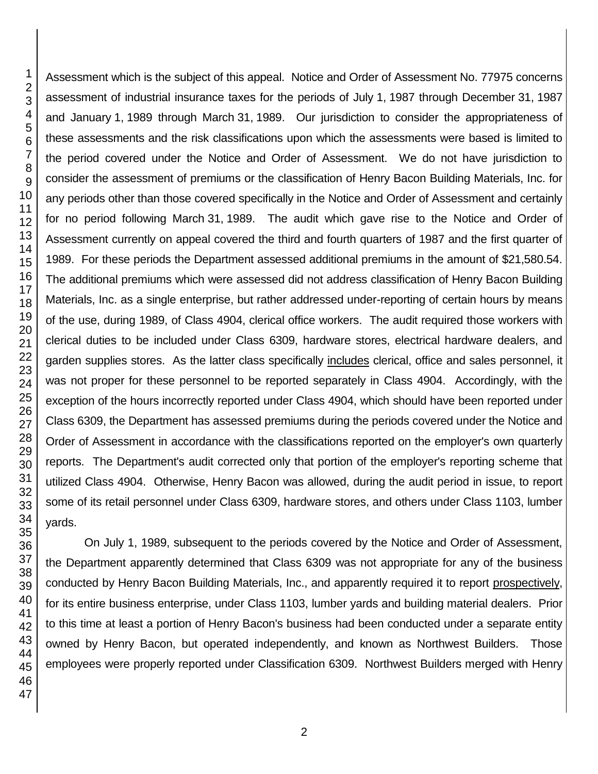Assessment which is the subject of this appeal. Notice and Order of Assessment No. 77975 concerns assessment of industrial insurance taxes for the periods of July 1, 1987 through December 31, 1987 and January 1, 1989 through March 31, 1989. Our jurisdiction to consider the appropriateness of these assessments and the risk classifications upon which the assessments were based is limited to the period covered under the Notice and Order of Assessment. We do not have jurisdiction to consider the assessment of premiums or the classification of Henry Bacon Building Materials, Inc. for any periods other than those covered specifically in the Notice and Order of Assessment and certainly for no period following March 31, 1989. The audit which gave rise to the Notice and Order of Assessment currently on appeal covered the third and fourth quarters of 1987 and the first quarter of 1989. For these periods the Department assessed additional premiums in the amount of \$21,580.54. The additional premiums which were assessed did not address classification of Henry Bacon Building Materials, Inc. as a single enterprise, but rather addressed under-reporting of certain hours by means of the use, during 1989, of Class 4904, clerical office workers. The audit required those workers with clerical duties to be included under Class 6309, hardware stores, electrical hardware dealers, and garden supplies stores. As the latter class specifically includes clerical, office and sales personnel, it was not proper for these personnel to be reported separately in Class 4904. Accordingly, with the exception of the hours incorrectly reported under Class 4904, which should have been reported under Class 6309, the Department has assessed premiums during the periods covered under the Notice and Order of Assessment in accordance with the classifications reported on the employer's own quarterly reports. The Department's audit corrected only that portion of the employer's reporting scheme that utilized Class 4904. Otherwise, Henry Bacon was allowed, during the audit period in issue, to report some of its retail personnel under Class 6309, hardware stores, and others under Class 1103, lumber yards.

On July 1, 1989, subsequent to the periods covered by the Notice and Order of Assessment, the Department apparently determined that Class 6309 was not appropriate for any of the business conducted by Henry Bacon Building Materials, Inc., and apparently required it to report prospectively, for its entire business enterprise, under Class 1103, lumber yards and building material dealers. Prior to this time at least a portion of Henry Bacon's business had been conducted under a separate entity owned by Henry Bacon, but operated independently, and known as Northwest Builders. Those employees were properly reported under Classification 6309. Northwest Builders merged with Henry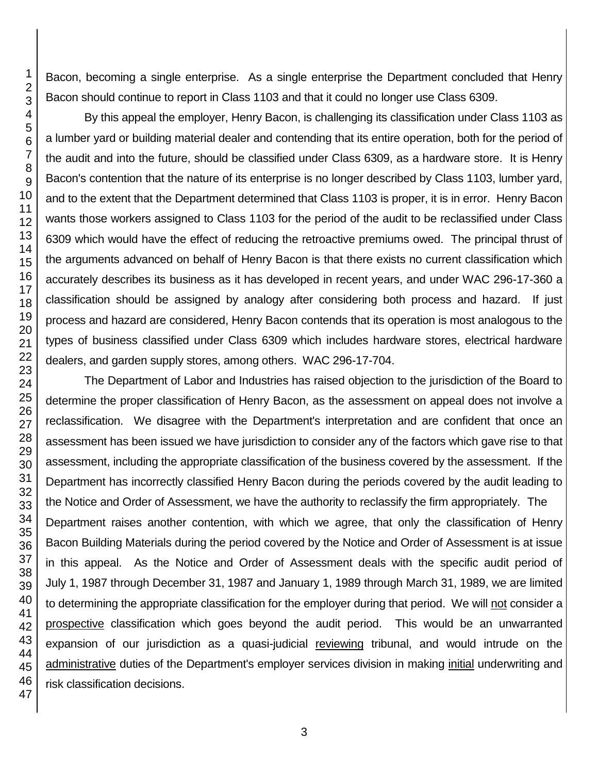Bacon, becoming a single enterprise. As a single enterprise the Department concluded that Henry Bacon should continue to report in Class 1103 and that it could no longer use Class 6309.

By this appeal the employer, Henry Bacon, is challenging its classification under Class 1103 as a lumber yard or building material dealer and contending that its entire operation, both for the period of the audit and into the future, should be classified under Class 6309, as a hardware store. It is Henry Bacon's contention that the nature of its enterprise is no longer described by Class 1103, lumber yard, and to the extent that the Department determined that Class 1103 is proper, it is in error. Henry Bacon wants those workers assigned to Class 1103 for the period of the audit to be reclassified under Class 6309 which would have the effect of reducing the retroactive premiums owed. The principal thrust of the arguments advanced on behalf of Henry Bacon is that there exists no current classification which accurately describes its business as it has developed in recent years, and under WAC 296-17-360 a classification should be assigned by analogy after considering both process and hazard. If just process and hazard are considered, Henry Bacon contends that its operation is most analogous to the types of business classified under Class 6309 which includes hardware stores, electrical hardware dealers, and garden supply stores, among others. WAC 296-17-704.

The Department of Labor and Industries has raised objection to the jurisdiction of the Board to determine the proper classification of Henry Bacon, as the assessment on appeal does not involve a reclassification. We disagree with the Department's interpretation and are confident that once an assessment has been issued we have jurisdiction to consider any of the factors which gave rise to that assessment, including the appropriate classification of the business covered by the assessment. If the Department has incorrectly classified Henry Bacon during the periods covered by the audit leading to the Notice and Order of Assessment, we have the authority to reclassify the firm appropriately. The Department raises another contention, with which we agree, that only the classification of Henry Bacon Building Materials during the period covered by the Notice and Order of Assessment is at issue in this appeal. As the Notice and Order of Assessment deals with the specific audit period of July 1, 1987 through December 31, 1987 and January 1, 1989 through March 31, 1989, we are limited to determining the appropriate classification for the employer during that period. We will not consider a prospective classification which goes beyond the audit period. This would be an unwarranted expansion of our jurisdiction as a quasi-judicial reviewing tribunal, and would intrude on the administrative duties of the Department's employer services division in making initial underwriting and risk classification decisions.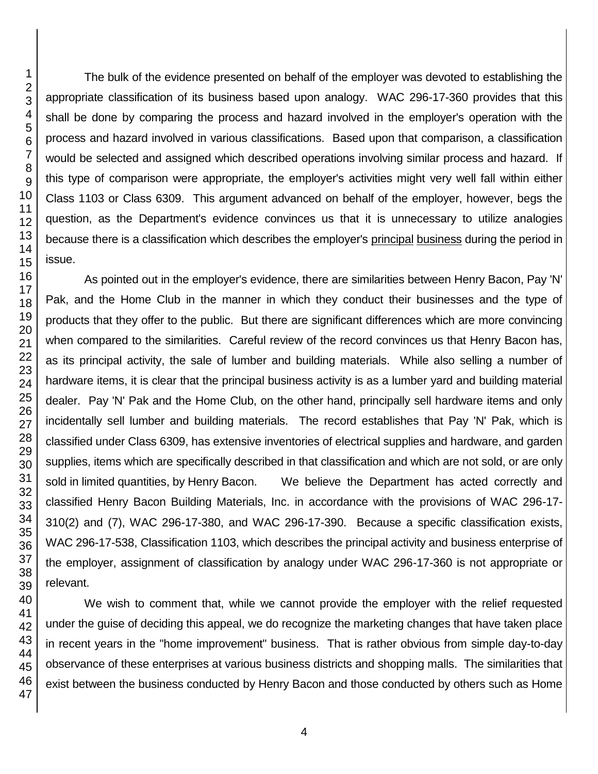The bulk of the evidence presented on behalf of the employer was devoted to establishing the appropriate classification of its business based upon analogy. WAC 296-17-360 provides that this shall be done by comparing the process and hazard involved in the employer's operation with the process and hazard involved in various classifications. Based upon that comparison, a classification would be selected and assigned which described operations involving similar process and hazard. If this type of comparison were appropriate, the employer's activities might very well fall within either Class 1103 or Class 6309. This argument advanced on behalf of the employer, however, begs the question, as the Department's evidence convinces us that it is unnecessary to utilize analogies because there is a classification which describes the employer's principal business during the period in issue.

As pointed out in the employer's evidence, there are similarities between Henry Bacon, Pay 'N' Pak, and the Home Club in the manner in which they conduct their businesses and the type of products that they offer to the public. But there are significant differences which are more convincing when compared to the similarities. Careful review of the record convinces us that Henry Bacon has, as its principal activity, the sale of lumber and building materials. While also selling a number of hardware items, it is clear that the principal business activity is as a lumber yard and building material dealer. Pay 'N' Pak and the Home Club, on the other hand, principally sell hardware items and only incidentally sell lumber and building materials. The record establishes that Pay 'N' Pak, which is classified under Class 6309, has extensive inventories of electrical supplies and hardware, and garden supplies, items which are specifically described in that classification and which are not sold, or are only sold in limited quantities, by Henry Bacon. We believe the Department has acted correctly and classified Henry Bacon Building Materials, Inc. in accordance with the provisions of WAC 296-17- 310(2) and (7), WAC 296-17-380, and WAC 296-17-390. Because a specific classification exists, WAC 296-17-538, Classification 1103, which describes the principal activity and business enterprise of the employer, assignment of classification by analogy under WAC 296-17-360 is not appropriate or relevant.

We wish to comment that, while we cannot provide the employer with the relief requested under the guise of deciding this appeal, we do recognize the marketing changes that have taken place in recent years in the "home improvement" business. That is rather obvious from simple day-to-day observance of these enterprises at various business districts and shopping malls. The similarities that exist between the business conducted by Henry Bacon and those conducted by others such as Home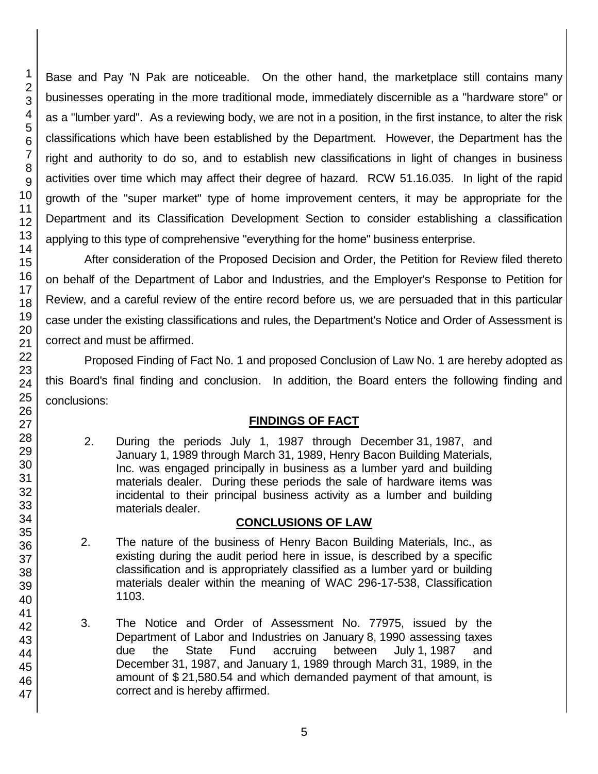Base and Pay 'N Pak are noticeable. On the other hand, the marketplace still contains many businesses operating in the more traditional mode, immediately discernible as a "hardware store" or as a "lumber yard". As a reviewing body, we are not in a position, in the first instance, to alter the risk classifications which have been established by the Department. However, the Department has the right and authority to do so, and to establish new classifications in light of changes in business activities over time which may affect their degree of hazard. RCW 51.16.035. In light of the rapid growth of the "super market" type of home improvement centers, it may be appropriate for the Department and its Classification Development Section to consider establishing a classification applying to this type of comprehensive "everything for the home" business enterprise.

After consideration of the Proposed Decision and Order, the Petition for Review filed thereto on behalf of the Department of Labor and Industries, and the Employer's Response to Petition for Review, and a careful review of the entire record before us, we are persuaded that in this particular case under the existing classifications and rules, the Department's Notice and Order of Assessment is correct and must be affirmed.

Proposed Finding of Fact No. 1 and proposed Conclusion of Law No. 1 are hereby adopted as this Board's final finding and conclusion. In addition, the Board enters the following finding and conclusions:

## **FINDINGS OF FACT**

2. During the periods July 1, 1987 through December 31, 1987, and January 1, 1989 through March 31, 1989, Henry Bacon Building Materials, Inc. was engaged principally in business as a lumber yard and building materials dealer. During these periods the sale of hardware items was incidental to their principal business activity as a lumber and building materials dealer.

#### **CONCLUSIONS OF LAW**

- 2. The nature of the business of Henry Bacon Building Materials, Inc., as existing during the audit period here in issue, is described by a specific classification and is appropriately classified as a lumber yard or building materials dealer within the meaning of WAC 296-17-538, Classification 1103.
- 3. The Notice and Order of Assessment No. 77975, issued by the Department of Labor and Industries on January 8, 1990 assessing taxes due the State Fund accruing between July 1, 1987 and December 31, 1987, and January 1, 1989 through March 31, 1989, in the amount of \$ 21,580.54 and which demanded payment of that amount, is correct and is hereby affirmed.